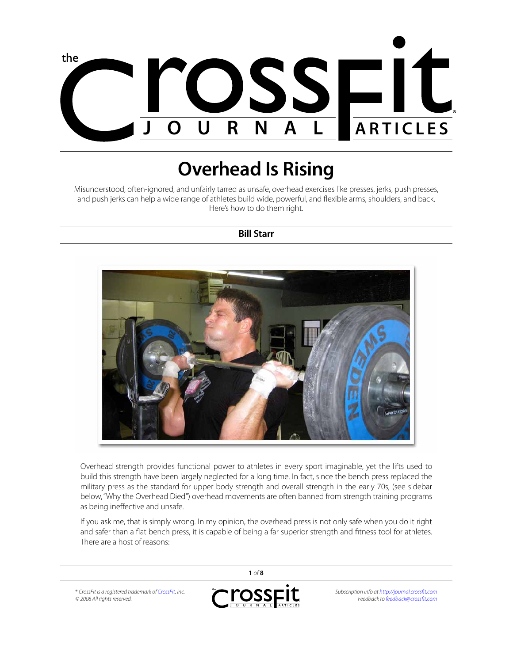

# **Overhead Is Rising**

Misunderstood, often-ignored, and unfairly tarred as unsafe, overhead exercises like presses, jerks, push presses, and push jerks can help a wide range of athletes build wide, powerful, and flexible arms, shoulders, and back. Here's how to do them right.

#### **Bill Starr**



Overhead strength provides functional power to athletes in every sport imaginable, yet the lifts used to build this strength have been largely neglected for a long time. In fact, since the bench press replaced the military press as the standard for upper body strength and overall strength in the early 70s, (see sidebar below, "Why the Overhead Died") overhead movements are often banned from strength training programs as being ineffective and unsafe.

If you ask me, that is simply wrong. In my opinion, the overhead press is not only safe when you do it right and safer than a flat bench press, it is capable of being a far superior strength and fitness tool for athletes. There are a host of reasons:

® *CrossFit is a registered trademark of [CrossFit](http://www.crossfit.com), Inc. © 2008 All rights reserved.*



**1** *of* **8**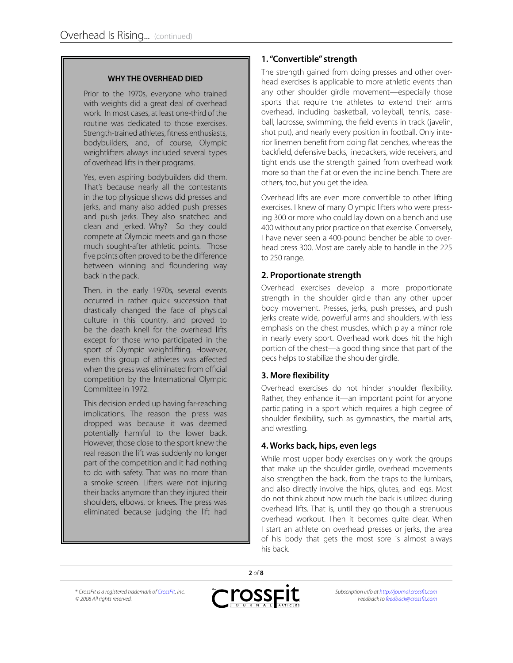#### **WHY THE OVERHEAD DIED**

Prior to the 1970s, everyone who trained with weights did a great deal of overhead work. In most cases, at least one-third of the routine was dedicated to those exercises. Strength-trained athletes, fitness enthusiasts, bodybuilders, and, of course, Olympic weightlifters always included several types of overhead lifts in their programs.

Yes, even aspiring bodybuilders did them. That's because nearly all the contestants in the top physique shows did presses and jerks, and many also added push presses and push jerks. They also snatched and clean and jerked. Why? So they could compete at Olympic meets and gain those much sought-after athletic points. Those five points often proved to be the difference between winning and floundering way back in the pack.

Then, in the early 1970s, several events occurred in rather quick succession that drastically changed the face of physical culture in this country, and proved to be the death knell for the overhead lifts except for those who participated in the sport of Olympic weightlifting. However, even this group of athletes was affected when the press was eliminated from official competition by the International Olympic Committee in 1972.

This decision ended up having far-reaching implications. The reason the press was dropped was because it was deemed potentially harmful to the lower back. However, those close to the sport knew the real reason the lift was suddenly no longer part of the competition and it had nothing to do with safety. That was no more than a smoke screen. Lifters were not injuring their backs anymore than they injured their shoulders, elbows, or knees. The press was eliminated because judging the lift had

## **1. "Convertible" strength**

The strength gained from doing presses and other overhead exercises is applicable to more athletic events than any other shoulder girdle movement—especially those sports that require the athletes to extend their arms overhead, including basketball, volleyball, tennis, baseball, lacrosse, swimming, the field events in track (javelin, shot put), and nearly every position in football. Only interior linemen benefit from doing flat benches, whereas the backfield, defensive backs, linebackers, wide receivers, and tight ends use the strength gained from overhead work more so than the flat or even the incline bench. There are others, too, but you get the idea.

Overhead lifts are even more convertible to other lifting exercises. I knew of many Olympic lifters who were pressing 300 or more who could lay down on a bench and use 400 without any prior practice on that exercise. Conversely, I have never seen a 400-pound bencher be able to overhead press 300. Most are barely able to handle in the 225 to 250 range.

## **2. Proportionate strength**

Overhead exercises develop a more proportionate strength in the shoulder girdle than any other upper body movement. Presses, jerks, push presses, and push jerks create wide, powerful arms and shoulders, with less emphasis on the chest muscles, which play a minor role in nearly every sport. Overhead work does hit the high portion of the chest—a good thing since that part of the pecs helps to stabilize the shoulder girdle.

# **3. More flexibility**

Overhead exercises do not hinder shoulder flexibility. Rather, they enhance it—an important point for anyone participating in a sport which requires a high degree of shoulder flexibility, such as gymnastics, the martial arts, and wrestling.

# **4. Works back, hips, even legs**

While most upper body exercises only work the groups that make up the shoulder girdle, overhead movements also strengthen the back, from the traps to the lumbars, and also directly involve the hips, glutes, and legs. Most do not think about how much the back is utilized during overhead lifts. That is, until they go though a strenuous overhead workout. Then it becomes quite clear. When I start an athlete on overhead presses or jerks, the area of his body that gets the most sore is almost always his back.

® *CrossFit is a registered trademark of [CrossFit](http://www.crossfit.com), Inc. © 2008 All rights reserved.*



**2** *of* **8**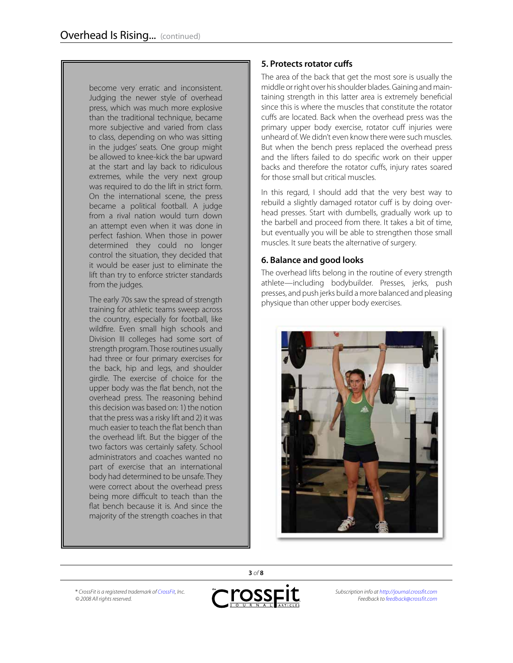become very erratic and inconsistent. Judging the newer style of overhead press, which was much more explosive than the traditional technique, became more subjective and varied from class to class, depending on who was sitting in the judges' seats. One group might be allowed to knee-kick the bar upward at the start and lay back to ridiculous extremes, while the very next group was required to do the lift in strict form. On the international scene, the press became a political football. A judge from a rival nation would turn down an attempt even when it was done in perfect fashion. When those in power determined they could no longer control the situation, they decided that it would be easer just to eliminate the lift than try to enforce stricter standards from the judges.

The early 70s saw the spread of strength training for athletic teams sweep across the country, especially for football, like wildfire. Even small high schools and Division III colleges had some sort of strength program. Those routines usually had three or four primary exercises for the back, hip and legs, and shoulder girdle. The exercise of choice for the upper body was the flat bench, not the overhead press. The reasoning behind this decision was based on: 1) the notion that the press was a risky lift and 2) it was much easier to teach the flat bench than the overhead lift. But the bigger of the two factors was certainly safety. School administrators and coaches wanted no part of exercise that an international body had determined to be unsafe. They were correct about the overhead press being more difficult to teach than the flat bench because it is. And since the majority of the strength coaches in that

# **5. Protects rotator cuffs**

The area of the back that get the most sore is usually the middle or right over his shoulder blades. Gaining and maintaining strength in this latter area is extremely beneficial since this is where the muscles that constitute the rotator cuffs are located. Back when the overhead press was the primary upper body exercise, rotator cuff injuries were unheard of. We didn't even know there were such muscles. But when the bench press replaced the overhead press and the lifters failed to do specific work on their upper backs and therefore the rotator cuffs, injury rates soared for those small but critical muscles.

In this regard, I should add that the very best way to rebuild a slightly damaged rotator cuff is by doing overhead presses. Start with dumbells, gradually work up to the barbell and proceed from there. It takes a bit of time, but eventually you will be able to strengthen those small muscles. It sure beats the alternative of surgery.

# **6. Balance and good looks**

The overhead lifts belong in the routine of every strength athlete—including bodybuilder. Presses, jerks, push presses, and push jerks build a more balanced and pleasing physique than other upper body exercises.



® *CrossFit is a registered trademark of [CrossFit](http://www.crossfit.com), Inc. © 2008 All rights reserved.*



**3** *of* **8**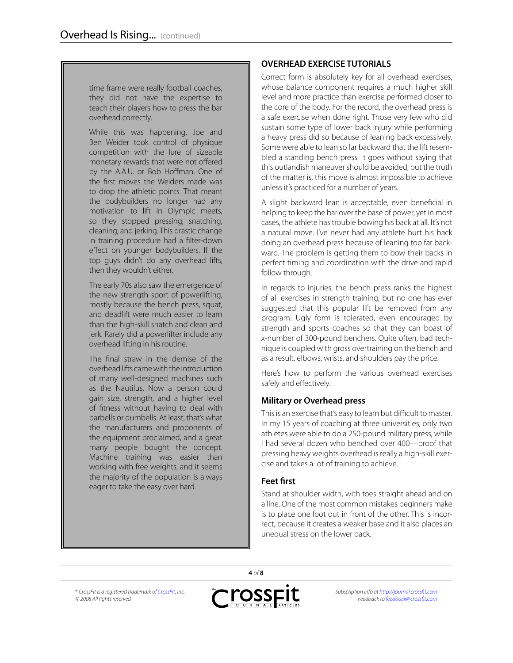time frame were really football coaches, they did not have the expertise to teach their players how to press the bar overhead correctly.

While this was happening, Joe and Ben Weider took control of physique competition with the lure of sizeable monetary rewards that were not offered by the A.A.U. or Bob Hoffman. One of the first moves the Weiders made was to drop the athletic points. That meant the bodybuilders no longer had any motivation to lift in Olympic meets, so they stopped pressing, snatching, cleaning, and jerking. This drastic change in training procedure had a filter-down effect on younger bodybuilders. If the top guys didn't do any overhead lifts, then they wouldn't either.

The early 70s also saw the emergence of the new strength sport of powerlifting, mostly because the bench press, squat, and deadlift were much easier to learn than the high-skill snatch and clean and jerk. Rarely did a powerlifter include any overhead lifting in his routine.

The final straw in the demise of the overhead lifts came with the introduction of many well-designed machines such as the Nautilus. Now a person could gain size, strength, and a higher level of fitness without having to deal with barbells or dumbells. At least, that's what the manufacturers and proponents of the equipment proclaimed, and a great many people bought the concept. Machine training was easier than working with free weights, and it seems the majority of the population is always eager to take the easy over hard.

# **OVERHEAD EXERCISE TUTORIALS**

Correct form is absolutely key for all overhead exercises, whose balance component requires a much higher skill level and more practice than exercise performed closer to the core of the body. For the record, the overhead press is a safe exercise when done right. Those very few who did sustain some type of lower back injury while performing a heavy press did so because of leaning back excessively. Some were able to lean so far backward that the lift resembled a standing bench press. It goes without saying that this outlandish maneuver should be avoided, but the truth of the matter is, this move is almost impossible to achieve unless it's practiced for a number of years.

A slight backward lean is acceptable, even beneficial in helping to keep the bar over the base of power, yet in most cases, the athlete has trouble bowing his back at all. It's not a natural move. I've never had any athlete hurt his back doing an overhead press because of leaning too far backward. The problem is getting them to bow their backs in perfect timing and coordination with the drive and rapid follow through.

In regards to injuries, the bench press ranks the highest of all exercises in strength training, but no one has ever suggested that this popular lift be removed from any program. Ugly form is tolerated, even encouraged by strength and sports coaches so that they can boast of x-number of 300-pound benchers. Quite often, bad technique is coupled with gross overtraining on the bench and as a result, elbows, wrists, and shoulders pay the price.

Here's how to perform the various overhead exercises safely and effectively.

# **Military or Overhead press**

This is an exercise that's easy to learn but difficult to master. In my 15 years of coaching at three universities, only two athletes were able to do a 250-pound military press, while I had several dozen who benched over 400—proof that pressing heavy weights overhead is really a high-skill exercise and takes a lot of training to achieve.

#### **Feet first**

Stand at shoulder width, with toes straight ahead and on a line. One of the most common mistakes beginners make is to place one foot out in front of the other. This is incorrect, because it creates a weaker base and it also places an unequal stress on the lower back.

® *CrossFit is a registered trademark of [CrossFit](http://www.crossfit.com), Inc. © 2008 All rights reserved.*



**4** *of* **8**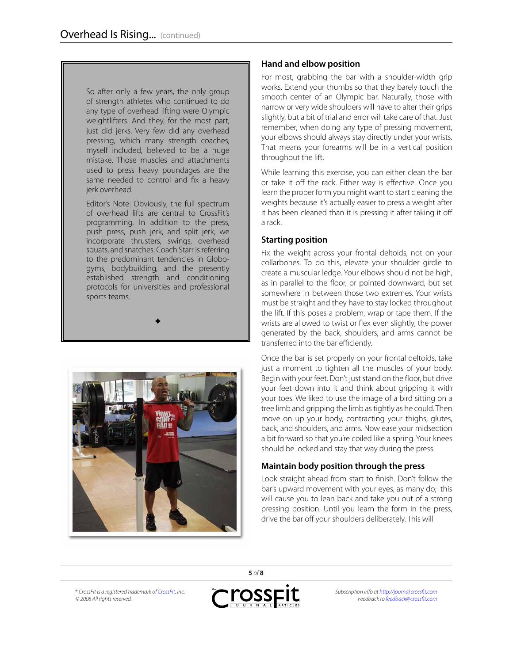So after only a few years, the only group of strength athletes who continued to do any type of overhead lifting were Olympic weightlifters. And they, for the most part, just did jerks. Very few did any overhead pressing, which many strength coaches, myself included, believed to be a huge mistake. Those muscles and attachments used to press heavy poundages are the same needed to control and fix a heavy jerk overhead.

Editor's Note: Obviously, the full spectrum of overhead lifts are central to CrossFit's programming. In addition to the press, push press, push jerk, and split jerk, we incorporate thrusters, swings, overhead squats, and snatches. Coach Starr is referring to the predominant tendencies in Globogyms, bodybuilding, and the presently established strength and conditioning protocols for universities and professional sports teams.

 $\bigstar$ 



## **Hand and elbow position**

For most, grabbing the bar with a shoulder-width grip works. Extend your thumbs so that they barely touch the smooth center of an Olympic bar. Naturally, those with narrow or very wide shoulders will have to alter their grips slightly, but a bit of trial and error will take care of that. Just remember, when doing any type of pressing movement, your elbows should always stay directly under your wrists. That means your forearms will be in a vertical position throughout the lift.

While learning this exercise, you can either clean the bar or take it off the rack. Either way is effective. Once you learn the proper form you might want to start cleaning the weights because it's actually easier to press a weight after it has been cleaned than it is pressing it after taking it off a rack.

## **Starting position**

Fix the weight across your frontal deltoids, not on your collarbones. To do this, elevate your shoulder girdle to create a muscular ledge. Your elbows should not be high, as in parallel to the floor, or pointed downward, but set somewhere in between those two extremes. Your wrists must be straight and they have to stay locked throughout the lift. If this poses a problem, wrap or tape them. If the wrists are allowed to twist or flex even slightly, the power generated by the back, shoulders, and arms cannot be transferred into the bar efficiently.

Once the bar is set properly on your frontal deltoids, take just a moment to tighten all the muscles of your body. Begin with your feet. Don't just stand on the floor, but drive your feet down into it and think about gripping it with your toes. We liked to use the image of a bird sitting on a tree limb and gripping the limb as tightly as he could. Then move on up your body, contracting your thighs, glutes, back, and shoulders, and arms. Now ease your midsection a bit forward so that you're coiled like a spring. Your knees should be locked and stay that way during the press.

# **Maintain body position through the press**

Look straight ahead from start to finish. Don't follow the bar's upward movement with your eyes, as many do; this will cause you to lean back and take you out of a strong pressing position. Until you learn the form in the press, drive the bar off your shoulders deliberately. This will

® *CrossFit is a registered trademark of [CrossFit](http://www.crossfit.com), Inc. © 2008 All rights reserved.*



**5** *of* **8**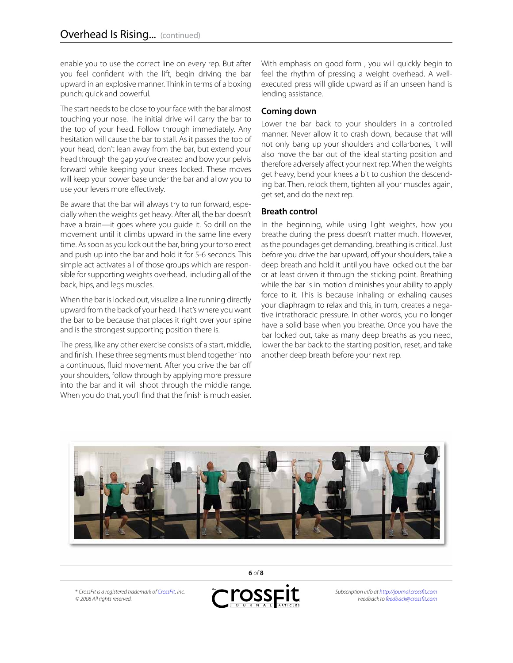enable you to use the correct line on every rep. But after you feel confident with the lift, begin driving the bar upward in an explosive manner. Think in terms of a boxing punch: quick and powerful.

The start needs to be close to your face with the bar almost touching your nose. The initial drive will carry the bar to the top of your head. Follow through immediately. Any hesitation will cause the bar to stall. As it passes the top of your head, don't lean away from the bar, but extend your head through the gap you've created and bow your pelvis forward while keeping your knees locked. These moves will keep your power base under the bar and allow you to use your levers more effectively.

Be aware that the bar will always try to run forward, especially when the weights get heavy. After all, the bar doesn't have a brain—it goes where you guide it. So drill on the movement until it climbs upward in the same line every time. As soon as you lock out the bar, bring your torso erect and push up into the bar and hold it for 5-6 seconds. This simple act activates all of those groups which are responsible for supporting weights overhead, including all of the back, hips, and legs muscles.

When the bar is locked out, visualize a line running directly upward from the back of your head. That's where you want the bar to be because that places it right over your spine and is the strongest supporting position there is.

The press, like any other exercise consists of a start, middle, and finish. These three segments must blend together into a continuous, fluid movement. After you drive the bar off your shoulders, follow through by applying more pressure into the bar and it will shoot through the middle range. When you do that, you'll find that the finish is much easier.

With emphasis on good form , you will quickly begin to feel the rhythm of pressing a weight overhead. A wellexecuted press will glide upward as if an unseen hand is lending assistance.

#### **Coming down**

Lower the bar back to your shoulders in a controlled manner. Never allow it to crash down, because that will not only bang up your shoulders and collarbones, it will also move the bar out of the ideal starting position and therefore adversely affect your next rep. When the weights get heavy, bend your knees a bit to cushion the descending bar. Then, relock them, tighten all your muscles again, get set, and do the next rep.

#### **Breath control**

In the beginning, while using light weights, how you breathe during the press doesn't matter much. However, as the poundages get demanding, breathing is critical. Just before you drive the bar upward, off your shoulders, take a deep breath and hold it until you have locked out the bar or at least driven it through the sticking point. Breathing while the bar is in motion diminishes your ability to apply force to it. This is because inhaling or exhaling causes your diaphragm to relax and this, in turn, creates a negative intrathoracic pressure. In other words, you no longer have a solid base when you breathe. Once you have the bar locked out, take as many deep breaths as you need, lower the bar back to the starting position, reset, and take another deep breath before your next rep.



® *CrossFit is a registered trademark of [CrossFit](http://www.crossfit.com), Inc. © 2008 All rights reserved.*



**6** *of* **8**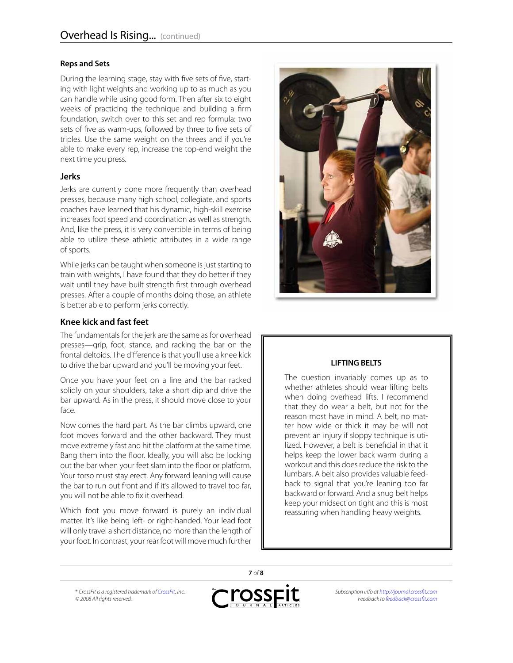#### **Reps and Sets**

During the learning stage, stay with five sets of five, starting with light weights and working up to as much as you can handle while using good form. Then after six to eight weeks of practicing the technique and building a firm foundation, switch over to this set and rep formula: two sets of five as warm-ups, followed by three to five sets of triples. Use the same weight on the threes and if you're able to make every rep, increase the top-end weight the next time you press.

#### **Jerks**

Jerks are currently done more frequently than overhead presses, because many high school, collegiate, and sports coaches have learned that his dynamic, high-skill exercise increases foot speed and coordination as well as strength. And, like the press, it is very convertible in terms of being able to utilize these athletic attributes in a wide range of sports.

While jerks can be taught when someone is just starting to train with weights, I have found that they do better if they wait until they have built strength first through overhead presses. After a couple of months doing those, an athlete is better able to perform jerks correctly.

#### **Knee kick and fast feet**

The fundamentals for the jerk are the same as for overhead presses—grip, foot, stance, and racking the bar on the frontal deltoids. The difference is that you'll use a knee kick to drive the bar upward and you'll be moving your feet.

Once you have your feet on a line and the bar racked solidly on your shoulders, take a short dip and drive the bar upward. As in the press, it should move close to your face.

Now comes the hard part. As the bar climbs upward, one foot moves forward and the other backward. They must move extremely fast and hit the platform at the same time. Bang them into the floor. Ideally, you will also be locking out the bar when your feet slam into the floor or platform. Your torso must stay erect. Any forward leaning will cause the bar to run out front and if it's allowed to travel too far, you will not be able to fix it overhead.

Which foot you move forward is purely an individual matter. It's like being left- or right-handed. Your lead foot will only travel a short distance, no more than the length of your foot. In contrast, your rear foot will move much further



#### **LIFTING BELTS**

The question invariably comes up as to whether athletes should wear lifting belts when doing overhead lifts. I recommend that they do wear a belt, but not for the reason most have in mind. A belt, no matter how wide or thick it may be will not prevent an injury if sloppy technique is utilized. However, a belt is beneficial in that it helps keep the lower back warm during a workout and this does reduce the risk to the lumbars. A belt also provides valuable feedback to signal that you're leaning too far backward or forward. And a snug belt helps keep your midsection tight and this is most reassuring when handling heavy weights.

® *CrossFit is a registered trademark of [CrossFit](http://www.crossfit.com), Inc. © 2008 All rights reserved.*



**7** *of* **8**